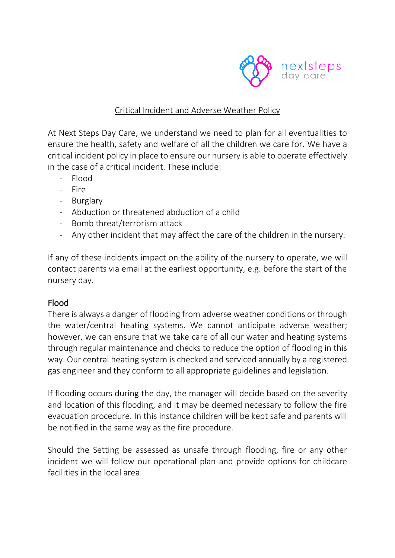

#### Critical Incident and Adverse Weather Policy

At Next Steps Day Care, we understand we need to plan for all eventualities to ensure the health, safety and welfare of all the children we care for. We have a critical incident policy in place to ensure our nursery is able to operate effectively in the case of a critical incident. These include:

- Flood
- Fire
- Burglary
- Abduction or threatened abduction of a child
- Bomb threat/terrorism attack
- Any other incident that may affect the care of the children in the nursery.

If any of these incidents impact on the ability of the nursery to operate, we will contact parents via email at the earliest opportunity, e.g. before the start of the nursery day.

### Flood

There is always a danger of flooding from adverse weather conditions or through the water/central heating systems. We cannot anticipate adverse weather; however, we can ensure that we take care of all our water and heating systems through regular maintenance and checks to reduce the option of flooding in this way. Our central heating system is checked and serviced annually by a registered gas engineer and they conform to all appropriate guidelines and legislation.

If flooding occurs during the day, the manager will decide based on the severity and location of this flooding, and it may be deemed necessary to follow the fire evacuation procedure. In this instance children will be kept safe and parents will be notified in the same way as the fire procedure.

Should the Setting be assessed as unsafe through flooding, fire or any other incident we will follow our operational plan and provide options for childcare facilities in the local area.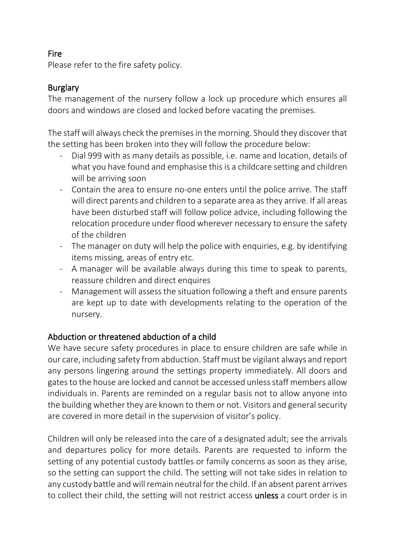### Fire

Please refer to the fire safety policy.

## **Burglary**

The management of the nursery follow a lock up procedure which ensures all doors and windows are closed and locked before vacating the premises.

The staff will always check the premises in the morning. Should they discover that the setting has been broken into they will follow the procedure below:

- Dial 999 with as many details as possible, i.e. name and location, details of what you have found and emphasise this is a childcare setting and children will be arriving soon
- Contain the area to ensure no-one enters until the police arrive. The staff will direct parents and children to a separate area as they arrive. If all areas have been disturbed staff will follow police advice, including following the relocation procedure under flood wherever necessary to ensure the safety of the children
- The manager on duty will help the police with enquiries, e.g. by identifying items missing, areas of entry etc.
- A manager will be available always during this time to speak to parents, reassure children and direct enquires
- Management will assess the situation following a theft and ensure parents are kept up to date with developments relating to the operation of the nursery.

### Abduction or threatened abduction of a child

We have secure safety procedures in place to ensure children are safe while in our care, including safety from abduction. Staff must be vigilant always and report any persons lingering around the settings property immediately. All doors and gates to the house are locked and cannot be accessed unless staff members allow individuals in. Parents are reminded on a regular basis not to allow anyone into the building whether they are known to them or not. Visitors and general security are covered in more detail in the supervision of visitor's policy.

Children will only be released into the care of a designated adult; see the arrivals and departures policy for more details. Parents are requested to inform the setting of any potential custody battles or family concerns as soon as they arise, so the setting can support the child. The setting will not take sides in relation to any custody battle and will remain neutral for the child. If an absent parent arrives to collect their child, the setting will not restrict access unless a court order is in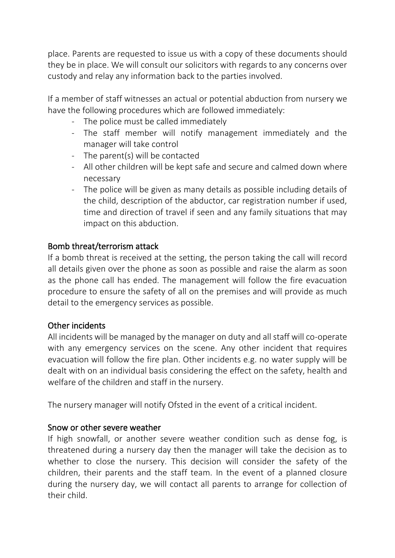place. Parents are requested to issue us with a copy of these documents should they be in place. We will consult our solicitors with regards to any concerns over custody and relay any information back to the parties involved.

If a member of staff witnesses an actual or potential abduction from nursery we have the following procedures which are followed immediately:

- The police must be called immediately
- The staff member will notify management immediately and the manager will take control
- The parent(s) will be contacted
- All other children will be kept safe and secure and calmed down where necessary
- The police will be given as many details as possible including details of the child, description of the abductor, car registration number if used, time and direction of travel if seen and any family situations that may impact on this abduction.

## Bomb threat/terrorism attack

If a bomb threat is received at the setting, the person taking the call will record all details given over the phone as soon as possible and raise the alarm as soon as the phone call has ended. The management will follow the fire evacuation procedure to ensure the safety of all on the premises and will provide as much detail to the emergency services as possible.

# Other incidents

All incidents will be managed by the manager on duty and all staff will co-operate with any emergency services on the scene. Any other incident that requires evacuation will follow the fire plan. Other incidents e.g. no water supply will be dealt with on an individual basis considering the effect on the safety, health and welfare of the children and staff in the nursery.

The nursery manager will notify Ofsted in the event of a critical incident.

### Snow or other severe weather

If high snowfall, or another severe weather condition such as dense fog, is threatened during a nursery day then the manager will take the decision as to whether to close the nursery. This decision will consider the safety of the children, their parents and the staff team. In the event of a planned closure during the nursery day, we will contact all parents to arrange for collection of their child.